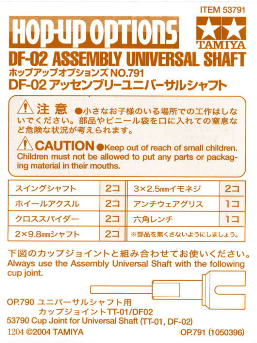## **ITEM 53791 HODUD ODTIONS** DF-02 ASSFMRIY IINIVFRSAI\_SH ホップアップオプションズ NO 791 DF-02 アッセンブリーユニバーサルシャフト



**CAUTION** OKeep out of reach of small children. Children must not be allowed to put any parts or packaging material in their mouths.

| スイングシャフト    | 2コ 3×2.5mmイモネジ        | $2-$ |
|-------------|-----------------------|------|
| ホイールアクスル    | 2コ アンチウェアグリス          | ו בו |
| クロススパイダー    | 2コ 六角レンチ              | ו בו |
| 2×9.8mmシャフト | 2コ ※部品を無くさないようにしましょう。 |      |

下図のカップジョイントと組み合わせてお使いください。 Always use the Assembly Universal Shaft with the following cup joint.

OP.790 ユニバーサルシャフト用 カップジョイントTT-01/DF02 53790 Cup Joint for Universal Shaft (TT-01, DF-02) 1204 ©2004 TAMIYA OP.791 (1050396)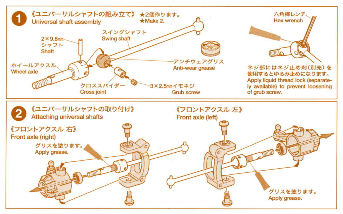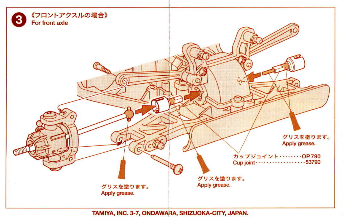